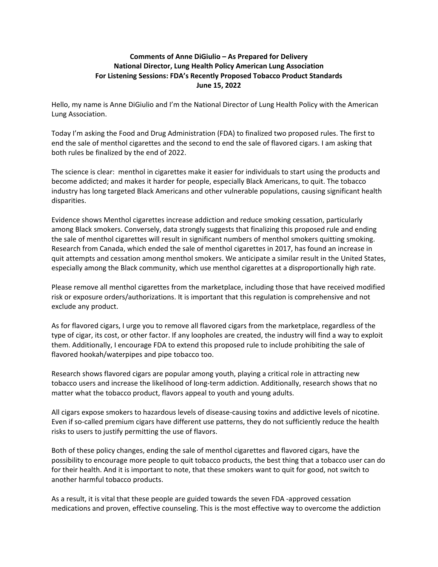## **Comments of Anne DiGiulio – As Prepared for Delivery National Director, Lung Health Policy American Lung Association For Listening Sessions: FDA's Recently Proposed Tobacco Product Standards June 15, 2022**

Hello, my name is Anne DiGiulio and I'm the National Director of Lung Health Policy with the American Lung Association.

Today I'm asking the Food and Drug Administration (FDA) to finalized two proposed rules. The first to end the sale of menthol cigarettes and the second to end the sale of flavored cigars. I am asking that both rules be finalized by the end of 2022.

The science is clear: menthol in cigarettes make it easier for individuals to start using the products and become addicted; and makes it harder for people, especially Black Americans, to quit. The tobacco industry has long targeted Black Americans and other vulnerable populations, causing significant health disparities.

Evidence shows Menthol cigarettes increase addiction and reduce smoking cessation, particularly among Black smokers. Conversely, data strongly suggests that finalizing this proposed rule and ending the sale of menthol cigarettes will result in significant numbers of menthol smokers quitting smoking. Research from Canada, which ended the sale of menthol cigarettes in 2017, has found an increase in quit attempts and cessation among menthol smokers. We anticipate a similar result in the United States, especially among the Black community, which use menthol cigarettes at a disproportionally high rate.

Please remove all menthol cigarettes from the marketplace, including those that have received modified risk or exposure orders/authorizations. It is important that this regulation is comprehensive and not exclude any product.

As for flavored cigars, I urge you to remove all flavored cigars from the marketplace, regardless of the type of cigar, its cost, or other factor. If any loopholes are created, the industry will find a way to exploit them. Additionally, I encourage FDA to extend this proposed rule to include prohibiting the sale of flavored hookah/waterpipes and pipe tobacco too.

Research shows flavored cigars are popular among youth, playing a critical role in attracting new tobacco users and increase the likelihood of long-term addiction. Additionally, research shows that no matter what the tobacco product, flavors appeal to youth and young adults.

All cigars expose smokers to hazardous levels of disease-causing toxins and addictive levels of nicotine. Even if so-called premium cigars have different use patterns, they do not sufficiently reduce the health risks to users to justify permitting the use of flavors.

Both of these policy changes, ending the sale of menthol cigarettes and flavored cigars, have the possibility to encourage more people to quit tobacco products, the best thing that a tobacco user can do for their health. And it is important to note, that these smokers want to quit for good, not switch to another harmful tobacco products.

As a result, it is vital that these people are guided towards the seven FDA -approved cessation medications and proven, effective counseling. This is the most effective way to overcome the addiction